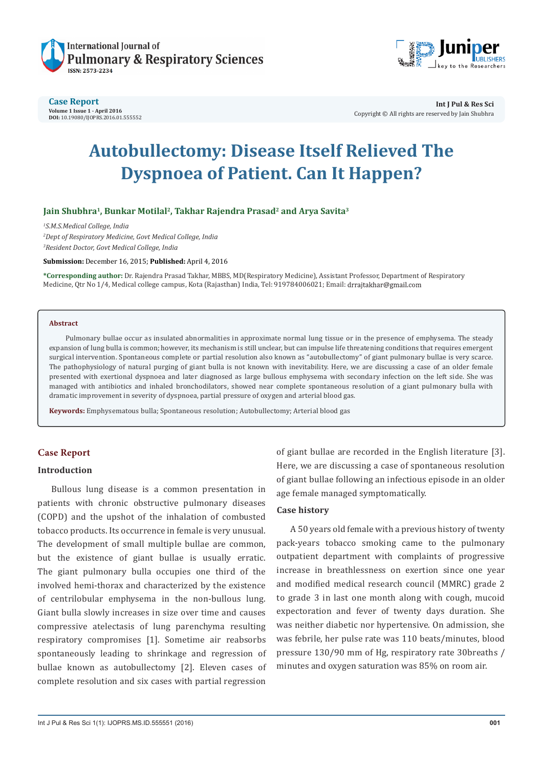



#### **Case Report Volume 1 Issue 1 - April 2016 DOI:** [10.19080/IJOPRS.2016.01.55555](http://http://dx.doi.org/10.19080/IJOPRS.2016.01.555552
)2

**Int J Pul & Res Sci** Copyright © All rights are reserved by Jain Shubhra

# **Autobullectomy: Disease Itself Relieved The Dyspnoea of Patient. Can It Happen?**

## Jain Shubhra<sup>1</sup>, Bunkar Motilal<sup>2</sup>, Takhar Rajendra Prasad<sup>2</sup> and Arya Savita<sup>3</sup>

*1 S.M.S.Medical College, India 2 Dept of Respiratory Medicine, Govt Medical College, India 3 Resident Doctor, Govt Medical College, India*

**Submission:** December 16, 2015; **Published:** April 4, 2016

**\*Corresponding author:** Dr. Rajendra Prasad Takhar, MBBS, MD(Respiratory Medicine), Assistant Professor, Department of Respiratory Medicine, Qtr No 1/4, Medical college campus, Kota (Rajasthan) India, Tel: 919784006021; Email: drrajtakhar@gmail.com

### **Abstract**

Pulmonary bullae occur as insulated abnormalities in approximate normal lung tissue or in the presence of emphysema. The steady expansion of lung bulla is common; however, its mechanism is still unclear, but can impulse life threatening conditions that requires emergent surgical intervention. Spontaneous complete or partial resolution also known as "autobullectomy" of giant pulmonary bullae is very scarce. The pathophysiology of natural purging of giant bulla is not known with inevitability. Here, we are discussing a case of an older female presented with exertional dyspnoea and later diagnosed as large bullous emphysema with secondary infection on the left side. She was managed with antibiotics and inhaled bronchodilators, showed near complete spontaneous resolution of a giant pulmonary bulla with dramatic improvement in severity of dyspnoea, partial pressure of oxygen and arterial blood gas.

**Keywords:** Emphysematous bulla; Spontaneous resolution; Autobullectomy; Arterial blood gas

## **Case Report**

#### **Introduction**

Bullous lung disease is a common presentation in patients with chronic obstructive pulmonary diseases (COPD) and the upshot of the inhalation of combusted tobacco products. Its occurrence in female is very unusual. The development of small multiple bullae are common, but the existence of giant bullae is usually erratic. The giant pulmonary bulla occupies one third of the involved hemi-thorax and characterized by the existence of centrilobular emphysema in the non-bullous lung. Giant bulla slowly increases in size over time and causes compressive atelectasis of lung parenchyma resulting respiratory compromises [1]. Sometime air reabsorbs spontaneously leading to shrinkage and regression of bullae known as autobullectomy [2]. Eleven cases of complete resolution and six cases with partial regression

of giant bullae are recorded in the English literature [3]. Here, we are discussing a case of spontaneous resolution of giant bullae following an infectious episode in an older age female managed symptomatically.

### **Case history**

A 50 years old female with a previous history of twenty pack-years tobacco smoking came to the pulmonary outpatient department with complaints of progressive increase in breathlessness on exertion since one year and modified medical research council (MMRC) grade 2 to grade 3 in last one month along with cough, mucoid expectoration and fever of twenty days duration. She was neither diabetic nor hypertensive. On admission, she was febrile, her pulse rate was 110 beats/minutes, blood pressure 130/90 mm of Hg, respiratory rate 30breaths / minutes and oxygen saturation was 85% on room air.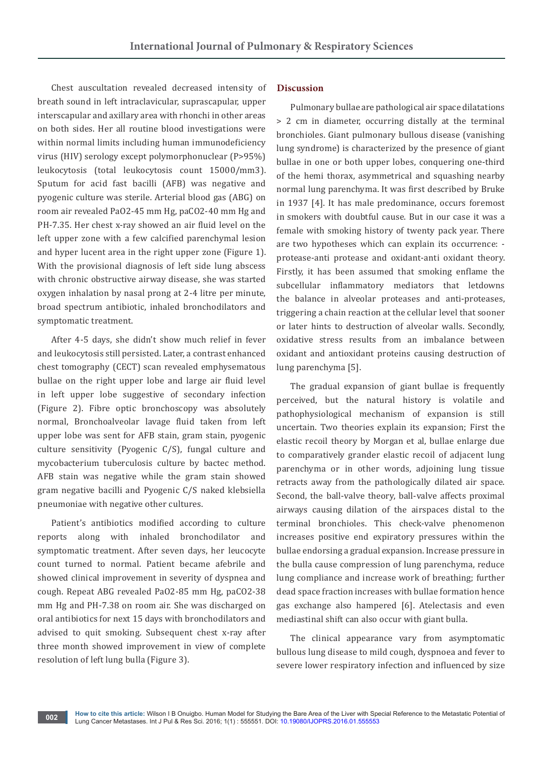Chest auscultation revealed decreased intensity of breath sound in left intraclavicular, suprascapular, upper interscapular and axillary area with rhonchi in other areas on both sides. Her all routine blood investigations were within normal limits including human immunodeficiency virus (HIV) serology except polymorphonuclear (P>95%) leukocytosis (total leukocytosis count 15000/mm3). Sputum for acid fast bacilli (AFB) was negative and pyogenic culture was sterile. Arterial blood gas (ABG) on room air revealed PaO2-45 mm Hg, paCO2-40 mm Hg and PH-7.35. Her chest x-ray showed an air fluid level on the left upper zone with a few calcified parenchymal lesion and hyper lucent area in the right upper zone (Figure 1). With the provisional diagnosis of left side lung abscess with chronic obstructive airway disease, she was started oxygen inhalation by nasal prong at 2-4 litre per minute, broad spectrum antibiotic, inhaled bronchodilators and symptomatic treatment.

After 4-5 days, she didn't show much relief in fever and leukocytosis still persisted. Later, a contrast enhanced chest tomography (CECT) scan revealed emphysematous bullae on the right upper lobe and large air fluid level in left upper lobe suggestive of secondary infection (Figure 2). Fibre optic bronchoscopy was absolutely normal, Bronchoalveolar lavage fluid taken from left upper lobe was sent for AFB stain, gram stain, pyogenic culture sensitivity (Pyogenic C/S), fungal culture and mycobacterium tuberculosis culture by bactec method. AFB stain was negative while the gram stain showed gram negative bacilli and Pyogenic C/S naked klebsiella pneumoniae with negative other cultures.

Patient's antibiotics modified according to culture reports along with inhaled bronchodilator and symptomatic treatment. After seven days, her leucocyte count turned to normal. Patient became afebrile and showed clinical improvement in severity of dyspnea and cough. Repeat ABG revealed PaO2-85 mm Hg, paCO2-38 mm Hg and PH-7.38 on room air. She was discharged on oral antibiotics for next 15 days with bronchodilators and advised to quit smoking. Subsequent chest x-ray after three month showed improvement in view of complete resolution of left lung bulla (Figure 3).

## **Discussion**

Pulmonary bullae are pathological air space dilatations > 2 cm in diameter, occurring distally at the terminal bronchioles. Giant pulmonary bullous disease (vanishing lung syndrome) is characterized by the presence of giant bullae in one or both upper lobes, conquering one-third of the hemi thorax, asymmetrical and squashing nearby normal lung parenchyma. It was first described by Bruke in 1937 [4]. It has male predominance, occurs foremost in smokers with doubtful cause. But in our case it was a female with smoking history of twenty pack year. There are two hypotheses which can explain its occurrence: protease-anti protease and oxidant-anti oxidant theory. Firstly, it has been assumed that smoking enflame the subcellular inflammatory mediators that letdowns the balance in alveolar proteases and anti-proteases, triggering a chain reaction at the cellular level that sooner or later hints to destruction of alveolar walls. Secondly, oxidative stress results from an imbalance between oxidant and antioxidant proteins causing destruction of lung parenchyma [5].

The gradual expansion of giant bullae is frequently perceived, but the natural history is volatile and pathophysiological mechanism of expansion is still uncertain. Two theories explain its expansion; First the elastic recoil theory by Morgan et al, bullae enlarge due to comparatively grander elastic recoil of adjacent lung parenchyma or in other words, adjoining lung tissue retracts away from the pathologically dilated air space. Second, the ball-valve theory, ball-valve affects proximal airways causing dilation of the airspaces distal to the terminal bronchioles. This check-valve phenomenon increases positive end expiratory pressures within the bullae endorsing a gradual expansion. Increase pressure in the bulla cause compression of lung parenchyma, reduce lung compliance and increase work of breathing; further dead space fraction increases with bullae formation hence gas exchange also hampered [6]. Atelectasis and even mediastinal shift can also occur with giant bulla.

The clinical appearance vary from asymptomatic bullous lung disease to mild cough, dyspnoea and fever to severe lower respiratory infection and influenced by size